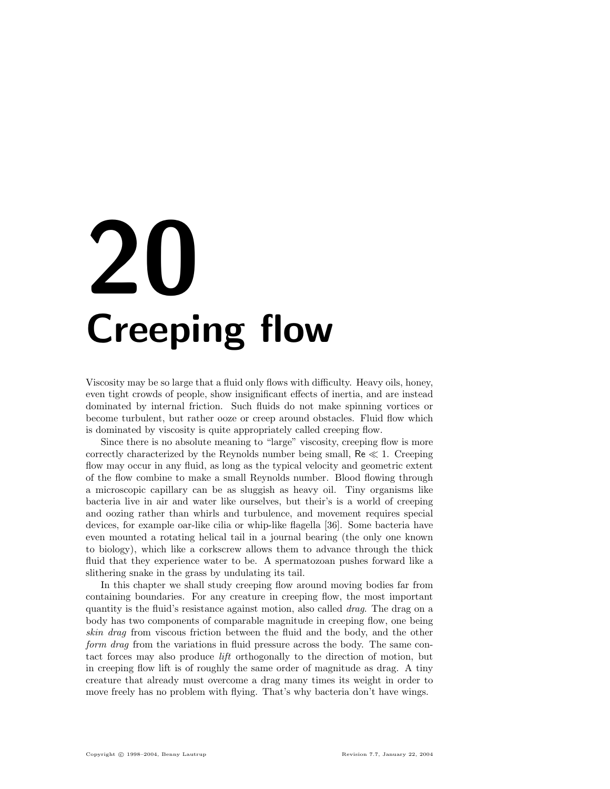# 20 Creeping flow

Viscosity may be so large that a fluid only flows with difficulty. Heavy oils, honey, even tight crowds of people, show insignificant effects of inertia, and are instead dominated by internal friction. Such fluids do not make spinning vortices or become turbulent, but rather ooze or creep around obstacles. Fluid flow which is dominated by viscosity is quite appropriately called creeping flow.

Since there is no absolute meaning to "large" viscosity, creeping flow is more correctly characterized by the Reynolds number being small,  $Re \ll 1$ . Creeping flow may occur in any fluid, as long as the typical velocity and geometric extent of the flow combine to make a small Reynolds number. Blood flowing through a microscopic capillary can be as sluggish as heavy oil. Tiny organisms like bacteria live in air and water like ourselves, but their's is a world of creeping and oozing rather than whirls and turbulence, and movement requires special devices, for example oar-like cilia or whip-like flagella [36]. Some bacteria have even mounted a rotating helical tail in a journal bearing (the only one known to biology), which like a corkscrew allows them to advance through the thick fluid that they experience water to be. A spermatozoan pushes forward like a slithering snake in the grass by undulating its tail.

In this chapter we shall study creeping flow around moving bodies far from containing boundaries. For any creature in creeping flow, the most important quantity is the fluid's resistance against motion, also called drag. The drag on a body has two components of comparable magnitude in creeping flow, one being skin drag from viscous friction between the fluid and the body, and the other form drag from the variations in fluid pressure across the body. The same contact forces may also produce lift orthogonally to the direction of motion, but in creeping flow lift is of roughly the same order of magnitude as drag. A tiny creature that already must overcome a drag many times its weight in order to move freely has no problem with flying. That's why bacteria don't have wings.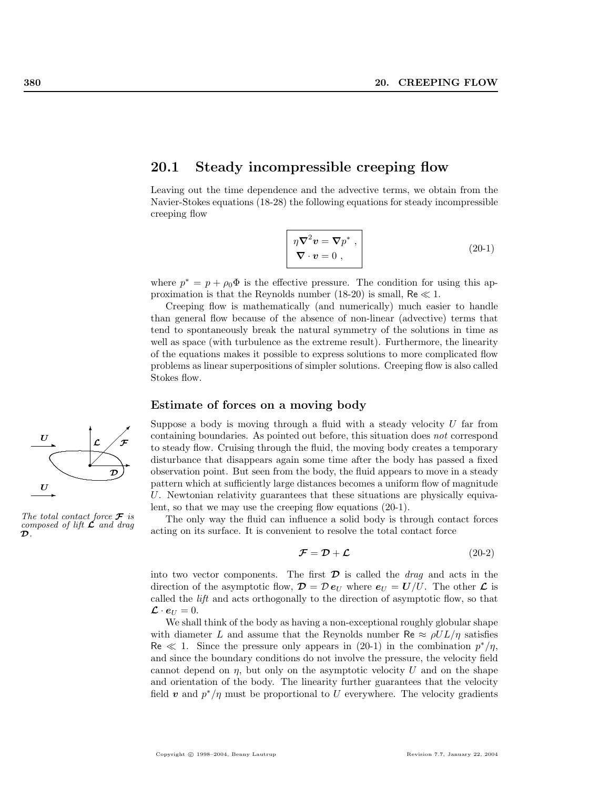# 20.1 Steady incompressible creeping flow

Leaving out the time dependence and the advective terms, we obtain from the Navier-Stokes equations (18-28) the following equations for steady incompressible creeping flow

$$
\begin{aligned}\n\eta \nabla^2 \mathbf{v} &= \nabla p^*, \\
\nabla \cdot \mathbf{v} &= 0,\n\end{aligned}
$$
\n(20-1)

where  $p^* = p + \rho_0 \Phi$  is the effective pressure. The condition for using this approximation is that the Reynolds number (18-20) is small,  $\text{Re} \ll 1$ .

Creeping flow is mathematically (and numerically) much easier to handle than general flow because of the absence of non-linear (advective) terms that tend to spontaneously break the natural symmetry of the solutions in time as well as space (with turbulence as the extreme result). Furthermore, the linearity of the equations makes it possible to express solutions to more complicated flow problems as linear superpositions of simpler solutions. Creeping flow is also called Stokes flow.

### Estimate of forces on a moving body

Suppose a body is moving through a fluid with a steady velocity  $U$  far from containing boundaries. As pointed out before, this situation does not correspond to steady flow. Cruising through the fluid, the moving body creates a temporary disturbance that disappears again some time after the body has passed a fixed observation point. But seen from the body, the fluid appears to move in a steady pattern which at sufficiently large distances becomes a uniform flow of magnitude U. Newtonian relativity guarantees that these situations are physically equivalent, so that we may use the creeping flow equations (20-1).

The only way the fluid can influence a solid body is through contact forces acting on its surface. It is convenient to resolve the total contact force

$$
\mathcal{F} = \mathcal{D} + \mathcal{L} \tag{20-2}
$$

into two vector components. The first  $\mathcal D$  is called the *drag* and acts in the direction of the asymptotic flow,  $\mathcal{D} = \mathcal{D} e_U$  where  $e_U = U/U$ . The other  $\mathcal{L}$  is called the *lift* and acts orthogonally to the direction of asymptotic flow, so that  $\mathcal{L} \cdot \mathbf{e}_U = 0.$ 

We shall think of the body as having a non-exceptional roughly globular shape with diameter L and assume that the Reynolds number Re  $\approx \rho U L / \eta$  satisfies Re  $\ll 1$ . Since the pressure only appears in (20-1) in the combination  $p^*/\eta$ , and since the boundary conditions do not involve the pressure, the velocity field cannot depend on  $\eta$ , but only on the asymptotic velocity U and on the shape and orientation of the body. The linearity further guarantees that the velocity field  $\boldsymbol{v}$  and  $p^*/\eta$  must be proportional to U everywhere. The velocity gradients



The total contact force  $\mathcal F$  is composed of lift  $\mathcal L$  and drag  $\mathcal{D}$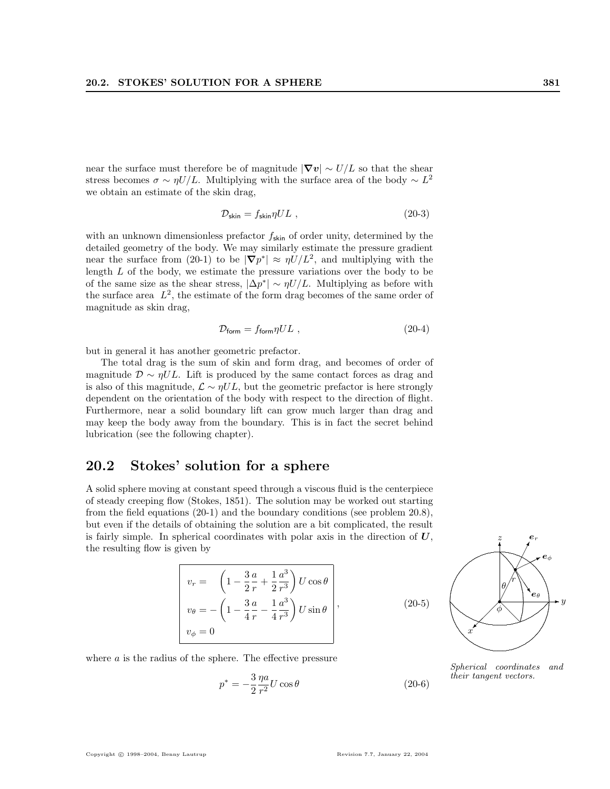near the surface must therefore be of magnitude  $|\nabla v| \sim U/L$  so that the shear stress becomes  $\sigma \sim \eta U/L$ . Multiplying with the surface area of the body  $\sim L^2$ we obtain an estimate of the skin drag,

$$
\mathcal{D}_{\text{skin}} = f_{\text{skin}} \eta U L \tag{20-3}
$$

with an unknown dimensionless prefactor  $f_{\text{skin}}$  of order unity, determined by the detailed geometry of the body. We may similarly estimate the pressure gradient near the surface from (20-1) to be  $|\nabla p^*| \approx \eta U/L^2$ , and multiplying with the length  $L$  of the body, we estimate the pressure variations over the body to be of the same size as the shear stress,  $|\Delta p^*| \sim \eta U/L$ . Multiplying as before with the surface area  $L^2$ , the estimate of the form drag becomes of the same order of magnitude as skin drag,

$$
\mathcal{D}_{\text{form}} = f_{\text{form}} \eta U L \tag{20-4}
$$

but in general it has another geometric prefactor.

The total drag is the sum of skin and form drag, and becomes of order of magnitude  $\mathcal{D} \sim \eta UL$ . Lift is produced by the same contact forces as drag and is also of this magnitude,  $\mathcal{L} \sim \eta UL$ , but the geometric prefactor is here strongly dependent on the orientation of the body with respect to the direction of flight. Furthermore, near a solid boundary lift can grow much larger than drag and may keep the body away from the boundary. This is in fact the secret behind lubrication (see the following chapter).

# 20.2 Stokes' solution for a sphere

A solid sphere moving at constant speed through a viscous fluid is the centerpiece of steady creeping flow (Stokes, 1851). The solution may be worked out starting from the field equations (20-1) and the boundary conditions (see problem 20.8), but even if the details of obtaining the solution are a bit complicated, the result is fairly simple. In spherical coordinates with polar axis in the direction of  $U$ , the resulting flow is given by

$$
v_r = \left(1 - \frac{3}{2} \frac{a}{r} + \frac{1}{2} \frac{a^3}{r^3}\right) U \cos \theta
$$
  
\n
$$
v_{\theta} = -\left(1 - \frac{3}{4} \frac{a}{r} - \frac{1}{4} \frac{a^3}{r^3}\right) U \sin \theta
$$
  
\n
$$
v_{\phi} = 0
$$
\n(20-5)

where  $a$  is the radius of the sphere. The effective pressure

$$
p^* = -\frac{3}{2} \frac{\eta a}{r^2} U \cos \theta \tag{20-6}
$$



Spherical coordinates and their tangent vectors.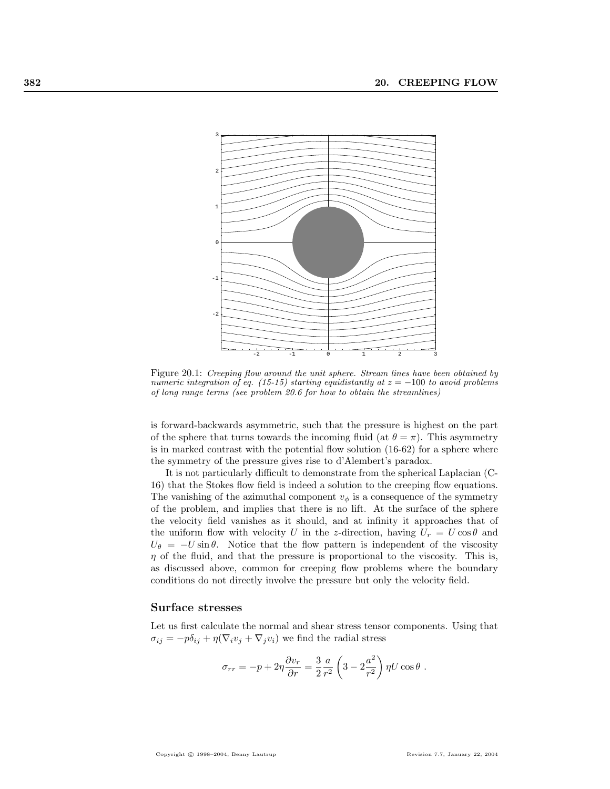

Figure 20.1: Creeping flow around the unit sphere. Stream lines have been obtained by numeric integration of eq. (15-15) starting equidistantly at  $z = -100$  to avoid problems of long range terms (see problem 20.6 for how to obtain the streamlines)

is forward-backwards asymmetric, such that the pressure is highest on the part of the sphere that turns towards the incoming fluid (at  $\theta = \pi$ ). This asymmetry is in marked contrast with the potential flow solution (16-62) for a sphere where the symmetry of the pressure gives rise to d'Alembert's paradox.

It is not particularly difficult to demonstrate from the spherical Laplacian (C-16) that the Stokes flow field is indeed a solution to the creeping flow equations. The vanishing of the azimuthal component  $v_{\phi}$  is a consequence of the symmetry of the problem, and implies that there is no lift. At the surface of the sphere the velocity field vanishes as it should, and at infinity it approaches that of the uniform flow with velocity U in the z-direction, having  $U_r = U \cos \theta$  and  $U_{\theta} = -U \sin \theta$ . Notice that the flow pattern is independent of the viscosity  $\eta$  of the fluid, and that the pressure is proportional to the viscosity. This is, as discussed above, common for creeping flow problems where the boundary conditions do not directly involve the pressure but only the velocity field.

### Surface stresses

Let us first calculate the normal and shear stress tensor components. Using that  $\sigma_{ij} = -p\delta_{ij} + \eta(\nabla_i v_j + \nabla_j v_i)$  we find the radial stress

$$
\sigma_{rr} = -p + 2\eta \frac{\partial v_r}{\partial r} = \frac{3}{2} \frac{a}{r^2} \left( 3 - 2 \frac{a^2}{r^2} \right) \eta U \cos \theta.
$$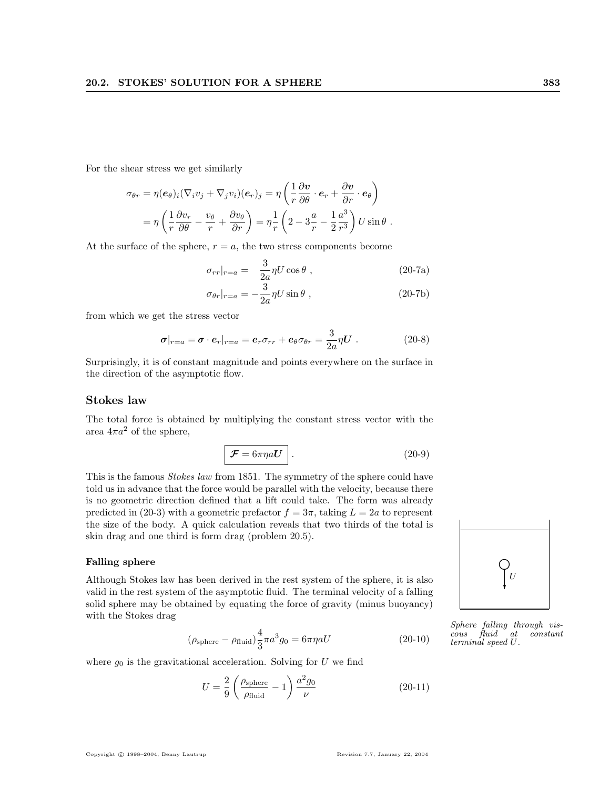For the shear stress we get similarly

$$
\sigma_{\theta r} = \eta(e_{\theta})_i (\nabla_i v_j + \nabla_j v_i)(e_r)_j = \eta \left( \frac{1}{r} \frac{\partial v}{\partial \theta} \cdot e_r + \frac{\partial v}{\partial r} \cdot e_{\theta} \right)
$$
  
= 
$$
\eta \left( \frac{1}{r} \frac{\partial v_r}{\partial \theta} - \frac{v_{\theta}}{r} + \frac{\partial v_{\theta}}{\partial r} \right) = \eta \frac{1}{r} \left( 2 - 3 \frac{a}{r} - \frac{1}{2} \frac{a^3}{r^3} \right) U \sin \theta.
$$

At the surface of the sphere,  $r = a$ , the two stress components become

$$
\sigma_{rr}|_{r=a} = \frac{3}{2a} \eta U \cos \theta , \qquad (20-7a)
$$

$$
\sigma_{\theta r}|_{r=a} = -\frac{3}{2a} \eta U \sin \theta , \qquad (20-7b)
$$

from which we get the stress vector

$$
\boldsymbol{\sigma}|_{r=a} = \boldsymbol{\sigma} \cdot \boldsymbol{e}_r|_{r=a} = \boldsymbol{e}_r \sigma_{rr} + \boldsymbol{e}_\theta \sigma_{\theta r} = \frac{3}{2a} \eta \boldsymbol{U} . \qquad (20-8)
$$

Surprisingly, it is of constant magnitude and points everywhere on the surface in the direction of the asymptotic flow.

## Stokes law

The total force is obtained by multiplying the constant stress vector with the area  $4\pi a^2$  of the sphere,

$$
\mathcal{F} = 6\pi \eta a \mathbf{U} \tag{20-9}
$$

This is the famous Stokes law from 1851. The symmetry of the sphere could have told us in advance that the force would be parallel with the velocity, because there is no geometric direction defined that a lift could take. The form was already predicted in (20-3) with a geometric prefactor  $f = 3\pi$ , taking  $L = 2a$  to represent the size of the body. A quick calculation reveals that two thirds of the total is skin drag and one third is form drag (problem 20.5).

### Falling sphere

Although Stokes law has been derived in the rest system of the sphere, it is also valid in the rest system of the asymptotic fluid. The terminal velocity of a falling solid sphere may be obtained by equating the force of gravity (minus buoyancy) with the Stokes drag

$$
(\rho_{\text{sphere}} - \rho_{\text{fluid}}) \frac{4}{3} \pi a^3 g_0 = 6 \pi \eta a U \qquad (20-10)
$$

where  $g_0$  is the gravitational acceleration. Solving for U we find

$$
U = \frac{2}{9} \left( \frac{\rho_{\text{sphere}}}{\rho_{\text{fluid}}} - 1 \right) \frac{a^2 g_0}{\nu}
$$
 (20-11)



Sphere falling through vis-<br>cous fluid at constant  $\dot{c}ous$   $\ddot{f}uid$  at terminal speed U.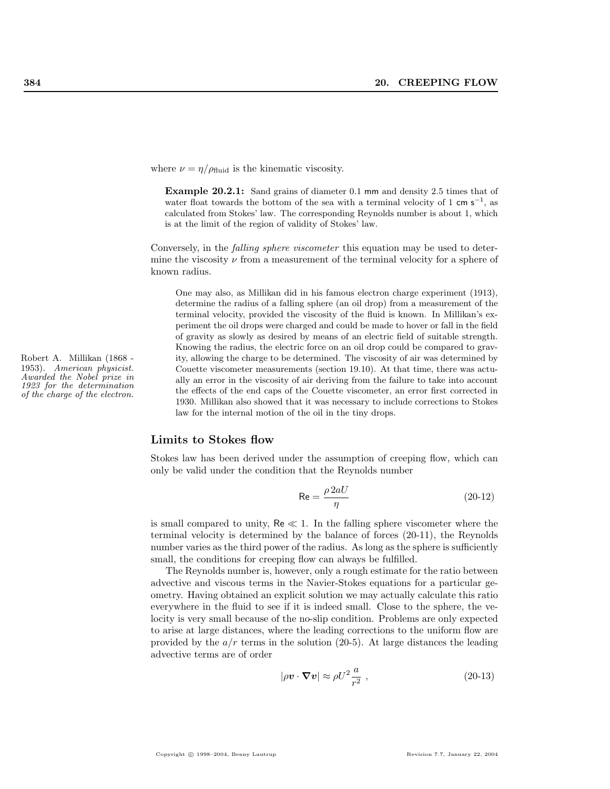where  $\nu = \eta/\rho_{\text{fluid}}$  is the kinematic viscosity.

Example 20.2.1: Sand grains of diameter 0.1 mm and density 2.5 times that of water float towards the bottom of the sea with a terminal velocity of 1 cm  $s^{-1}$ , as calculated from Stokes' law. The corresponding Reynolds number is about 1, which is at the limit of the region of validity of Stokes' law.

Conversely, in the *falling sphere viscometer* this equation may be used to determine the viscosity  $\nu$  from a measurement of the terminal velocity for a sphere of known radius.

One may also, as Millikan did in his famous electron charge experiment (1913), determine the radius of a falling sphere (an oil drop) from a measurement of the terminal velocity, provided the viscosity of the fluid is known. In Millikan's experiment the oil drops were charged and could be made to hover or fall in the field of gravity as slowly as desired by means of an electric field of suitable strength. Knowing the radius, the electric force on an oil drop could be compared to grav-Robert A. Millikan (1868 - ity, allowing the charge to be determined. The viscosity of air was determined by Couette viscometer measurements (section 19.10). At that time, there was actually an error in the viscosity of air deriving from the failure to take into account the effects of the end caps of the Couette viscometer, an error first corrected in 1930. Millikan also showed that it was necessary to include corrections to Stokes law for the internal motion of the oil in the tiny drops.

### Limits to Stokes flow

Stokes law has been derived under the assumption of creeping flow, which can only be valid under the condition that the Reynolds number

$$
\text{Re} = \frac{\rho \, 2aU}{\eta} \tag{20-12}
$$

is small compared to unity,  $\text{Re} \ll 1$ . In the falling sphere viscometer where the terminal velocity is determined by the balance of forces (20-11), the Reynolds number varies as the third power of the radius. As long as the sphere is sufficiently small, the conditions for creeping flow can always be fulfilled.

The Reynolds number is, however, only a rough estimate for the ratio between advective and viscous terms in the Navier-Stokes equations for a particular geometry. Having obtained an explicit solution we may actually calculate this ratio everywhere in the fluid to see if it is indeed small. Close to the sphere, the velocity is very small because of the no-slip condition. Problems are only expected to arise at large distances, where the leading corrections to the uniform flow are provided by the  $a/r$  terms in the solution (20-5). At large distances the leading advective terms are of order

$$
|\rho \mathbf{v} \cdot \nabla \mathbf{v}| \approx \rho U^2 \frac{a}{r^2} \,, \tag{20-13}
$$

1953). American physicist. Awarded the Nobel prize in 1923 for the determination of the charge of the electron.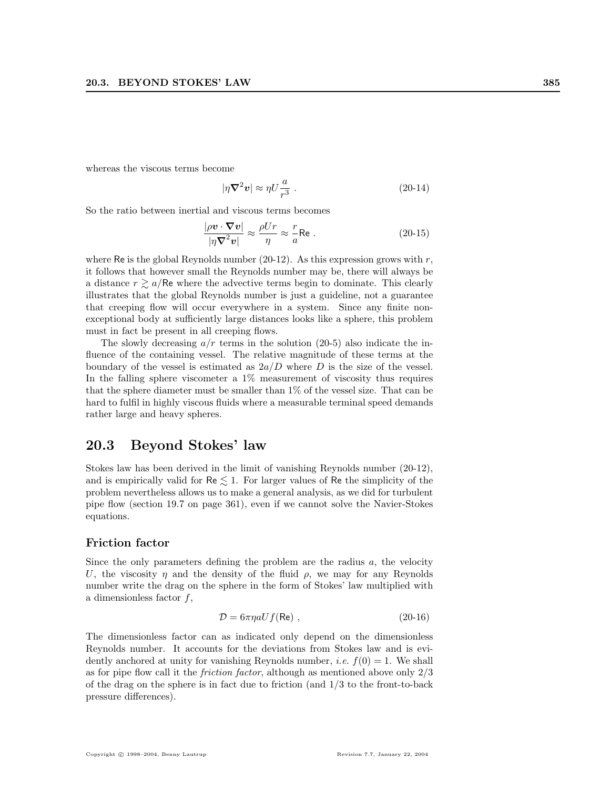whereas the viscous terms become

$$
|\eta \nabla^2 v| \approx \eta U \frac{a}{r^3} \tag{20-14}
$$

So the ratio between inertial and viscous terms becomes

$$
\frac{|\rho \mathbf{v} \cdot \nabla \mathbf{v}|}{|\eta \nabla^2 \mathbf{v}|} \approx \frac{\rho U r}{\eta} \approx \frac{r}{a} \text{Re} \ . \tag{20-15}
$$

where Re is the global Reynolds number (20-12). As this expression grows with  $r$ , it follows that however small the Reynolds number may be, there will always be a distance  $r \gtrsim a/R$ e where the advective terms begin to dominate. This clearly illustrates that the global Reynolds number is just a guideline, not a guarantee that creeping flow will occur everywhere in a system. Since any finite nonexceptional body at sufficiently large distances looks like a sphere, this problem must in fact be present in all creeping flows.

The slowly decreasing  $a/r$  terms in the solution (20-5) also indicate the influence of the containing vessel. The relative magnitude of these terms at the boundary of the vessel is estimated as  $2a/D$  where D is the size of the vessel. In the falling sphere viscometer a  $1\%$  measurement of viscosity thus requires that the sphere diameter must be smaller than 1% of the vessel size. That can be hard to fulfil in highly viscous fluids where a measurable terminal speed demands rather large and heavy spheres.

# 20.3 Beyond Stokes' law

Stokes law has been derived in the limit of vanishing Reynolds number (20-12), and is empirically valid for  $\text{Re} \lesssim 1$ . For larger values of Re the simplicity of the problem nevertheless allows us to make a general analysis, as we did for turbulent pipe flow (section 19.7 on page 361), even if we cannot solve the Navier-Stokes equations.

### Friction factor

Since the only parameters defining the problem are the radius  $a$ , the velocity U, the viscosity  $\eta$  and the density of the fluid  $\rho$ , we may for any Reynolds number write the drag on the sphere in the form of Stokes' law multiplied with a dimensionless factor  $f$ ,

$$
\mathcal{D} = 6\pi \eta a U f(\text{Re}) \tag{20-16}
$$

The dimensionless factor can as indicated only depend on the dimensionless Reynolds number. It accounts for the deviations from Stokes law and is evidently anchored at unity for vanishing Reynolds number, *i.e.*  $f(0) = 1$ . We shall as for pipe flow call it the friction factor, although as mentioned above only 2/3 of the drag on the sphere is in fact due to friction (and 1/3 to the front-to-back pressure differences).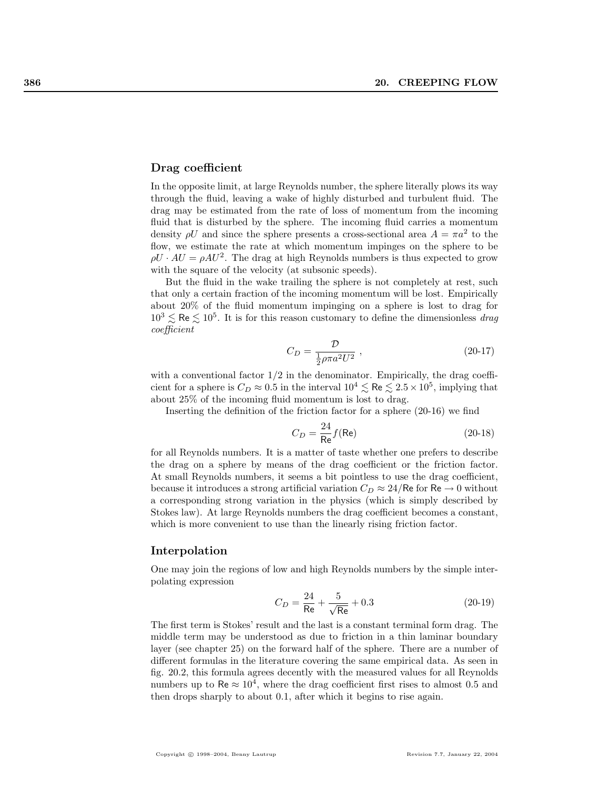### Drag coefficient

In the opposite limit, at large Reynolds number, the sphere literally plows its way through the fluid, leaving a wake of highly disturbed and turbulent fluid. The drag may be estimated from the rate of loss of momentum from the incoming fluid that is disturbed by the sphere. The incoming fluid carries a momentum density  $\rho U$  and since the sphere presents a cross-sectional area  $A = \pi a^2$  to the flow, we estimate the rate at which momentum impinges on the sphere to be  $\rho U \cdot AU = \rho A U^2$ . The drag at high Reynolds numbers is thus expected to grow with the square of the velocity (at subsonic speeds).

But the fluid in the wake trailing the sphere is not completely at rest, such that only a certain fraction of the incoming momentum will be lost. Empirically about 20% of the fluid momentum impinging on a sphere is lost to drag for  $10^3 \leq \text{Re} \leq 10^5$ . It is for this reason customary to define the dimensionless *drag* coefficient

$$
C_D = \frac{D}{\frac{1}{2}\rho \pi a^2 U^2} \,, \tag{20-17}
$$

with a conventional factor  $1/2$  in the denominator. Empirically, the drag coefficient for a sphere is  $C_D \approx 0.5$  in the interval  $10^4 \lesssim \text{Re} \lesssim 2.5 \times 10^5$ , implying that about 25% of the incoming fluid momentum is lost to drag.

Inserting the definition of the friction factor for a sphere (20-16) we find

$$
C_D = \frac{24}{\text{Re}} f(\text{Re}) \tag{20-18}
$$

for all Reynolds numbers. It is a matter of taste whether one prefers to describe the drag on a sphere by means of the drag coefficient or the friction factor. At small Reynolds numbers, it seems a bit pointless to use the drag coefficient, because it introduces a strong artificial variation  $C_D \approx 24/\text{Re}$  for  $\text{Re} \rightarrow 0$  without a corresponding strong variation in the physics (which is simply described by Stokes law). At large Reynolds numbers the drag coefficient becomes a constant, which is more convenient to use than the linearly rising friction factor.

### Interpolation

One may join the regions of low and high Reynolds numbers by the simple interpolating expression

$$
C_D = \frac{24}{\text{Re}} + \frac{5}{\sqrt{\text{Re}}} + 0.3\tag{20-19}
$$

The first term is Stokes' result and the last is a constant terminal form drag. The middle term may be understood as due to friction in a thin laminar boundary layer (see chapter 25) on the forward half of the sphere. There are a number of different formulas in the literature covering the same empirical data. As seen in fig. 20.2, this formula agrees decently with the measured values for all Reynolds numbers up to Re  $\approx 10^4$ , where the drag coefficient first rises to almost 0.5 and then drops sharply to about 0.1, after which it begins to rise again.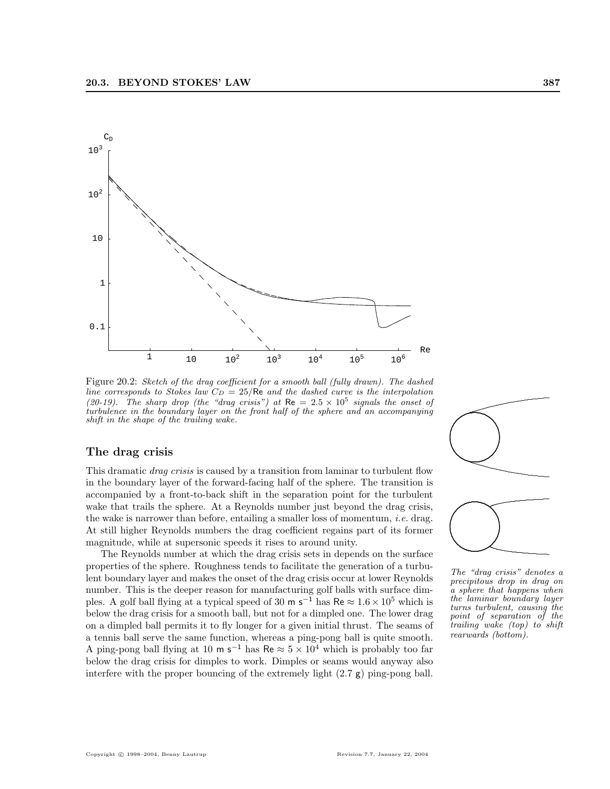

Figure 20.2: Sketch of the drag coefficient for a smooth ball (fully drawn). The dashed line corresponds to Stokes law  $C_D = 25$ /Re and the dashed curve is the interpolation (20-19). The sharp drop (the "drag crisis") at  $\text{Re} = 2.5 \times 10^5$  signals the onset of turbulence in the boundary layer on the front half of the sphere and an accompanying shift in the shape of the trailing wake.

## The drag crisis

This dramatic *drag crisis* is caused by a transition from laminar to turbulent flow in the boundary layer of the forward-facing half of the sphere. The transition is accompanied by a front-to-back shift in the separation point for the turbulent wake that trails the sphere. At a Reynolds number just beyond the drag crisis, the wake is narrower than before, entailing a smaller loss of momentum, *i.e.* drag. At still higher Reynolds numbers the drag coefficient regains part of its former magnitude, while at supersonic speeds it rises to around unity.

The Reynolds number at which the drag crisis sets in depends on the surface properties of the sphere. Roughness tends to facilitate the generation of a turbulent boundary layer and makes the onset of the drag crisis occur at lower Reynolds number. This is the deeper reason for manufacturing golf balls with surface dimples. A golf ball flying at a typical speed of 30 m s<sup>-1</sup> has Re  $\approx 1.6 \times 10^5$  which is below the drag crisis for a smooth ball, but not for a dimpled one. The lower drag on a dimpled ball permits it to fly longer for a given initial thrust. The seams of a tennis ball serve the same function, whereas a ping-pong ball is quite smooth. A ping-pong ball flying at 10 m s<sup>-1</sup> has Re  $\approx$  5  $\times$  10<sup>4</sup> which is probably too far below the drag crisis for dimples to work. Dimples or seams would anyway also interfere with the proper bouncing of the extremely light (2.7 g) ping-pong ball.



The "drag crisis" denotes a precipitous drop in drag on a sphere that happens when the laminar boundary layer turns turbulent, causing the point of separation of the trailing wake (top) to shift rearwards (bottom).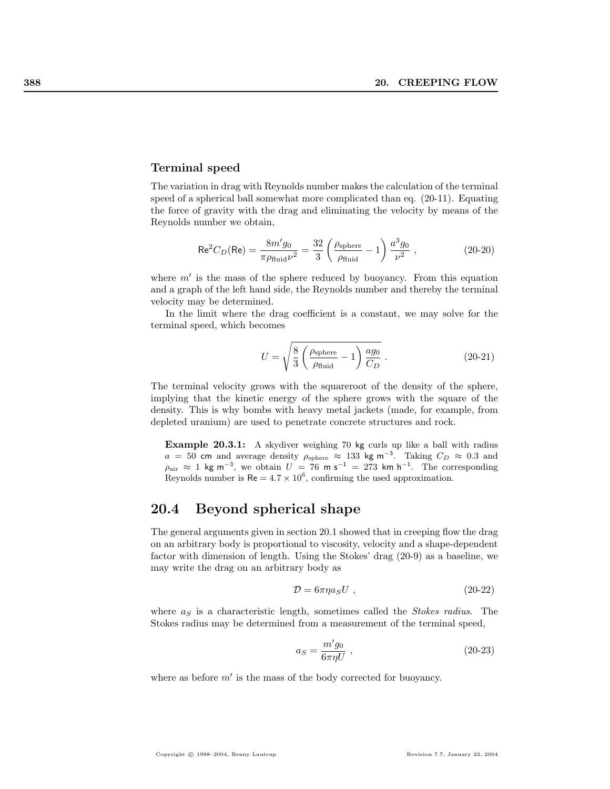### Terminal speed

The variation in drag with Reynolds number makes the calculation of the terminal speed of a spherical ball somewhat more complicated than eq. (20-11). Equating the force of gravity with the drag and eliminating the velocity by means of the Reynolds number we obtain,

$$
\text{Re}^{2}C_{D}(\text{Re}) = \frac{8m'g_{0}}{\pi \rho_{\text{fluid}}\nu^{2}} = \frac{32}{3} \left(\frac{\rho_{\text{sphere}}}{\rho_{\text{fluid}}} - 1\right) \frac{a^{3}g_{0}}{\nu^{2}} , \qquad (20-20)
$$

where  $m'$  is the mass of the sphere reduced by buoyancy. From this equation and a graph of the left hand side, the Reynolds number and thereby the terminal velocity may be determined.

In the limit where the drag coefficient is a constant, we may solve for the terminal speed, which becomes

$$
U = \sqrt{\frac{8}{3} \left( \frac{\rho_{\text{sphere}}}{\rho_{\text{fluid}}} - 1 \right) \frac{ag_0}{C_D}} \,. \tag{20-21}
$$

The terminal velocity grows with the squareroot of the density of the sphere, implying that the kinetic energy of the sphere grows with the square of the density. This is why bombs with heavy metal jackets (made, for example, from depleted uranium) are used to penetrate concrete structures and rock.

Example 20.3.1: A skydiver weighing 70 kg curls up like a ball with radius  $a = 50$  cm and average density  $\rho_{\text{sphere}} \approx 133$  kg m<sup>-3</sup>. Taking  $C_D \approx 0.3$  and  $\rho_{\text{air}} \approx 1$  kg m<sup>-3</sup>, we obtain  $U = 76$  m s<sup>-1</sup> = 273 km h<sup>-1</sup>. The corresponding Reynolds number is  $\text{Re} = 4.7 \times 10^6$ , confirming the used approximation.

# 20.4 Beyond spherical shape

The general arguments given in section 20.1 showed that in creeping flow the drag on an arbitrary body is proportional to viscosity, velocity and a shape-dependent factor with dimension of length. Using the Stokes' drag (20-9) as a baseline, we may write the drag on an arbitrary body as

$$
\mathcal{D} = 6\pi\eta a_S U \tag{20-22}
$$

where  $a<sub>S</sub>$  is a characteristic length, sometimes called the *Stokes radius*. The Stokes radius may be determined from a measurement of the terminal speed,

$$
a_S = \frac{m' g_0}{6\pi \eta U} \tag{20-23}
$$

where as before  $m'$  is the mass of the body corrected for buoyancy.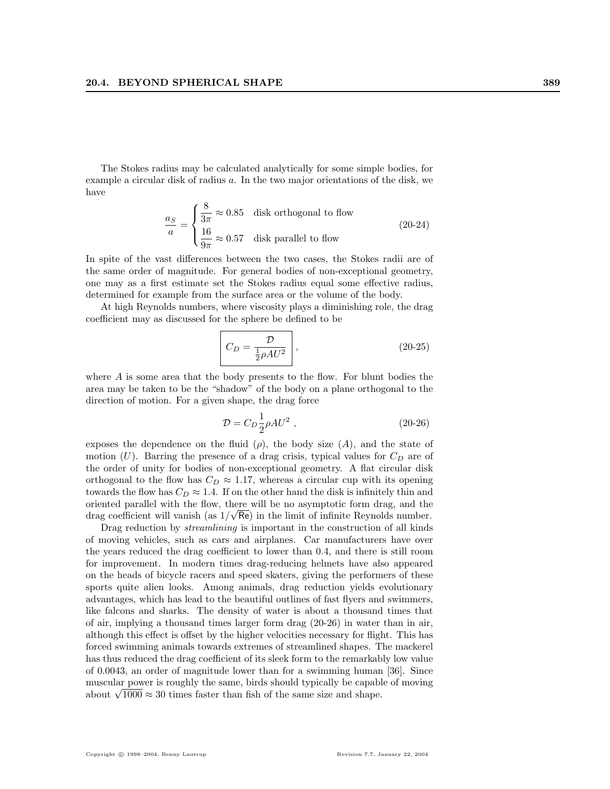The Stokes radius may be calculated analytically for some simple bodies, for example a circular disk of radius a. In the two major orientations of the disk, we have

$$
\frac{a_S}{a} = \begin{cases} \frac{8}{3\pi} \approx 0.85 & \text{disk orthogonal to flow} \\ \frac{16}{9\pi} \approx 0.57 & \text{disk parallel to flow} \end{cases} \tag{20-24}
$$

In spite of the vast differences between the two cases, the Stokes radii are of the same order of magnitude. For general bodies of non-exceptional geometry, one may as a first estimate set the Stokes radius equal some effective radius, determined for example from the surface area or the volume of the body.

At high Reynolds numbers, where viscosity plays a diminishing role, the drag coefficient may as discussed for the sphere be defined to be

$$
C_D = \frac{\mathcal{D}}{\frac{1}{2}\rho A U^2},\qquad(20-25)
$$

where A is some area that the body presents to the flow. For blunt bodies the area may be taken to be the "shadow" of the body on a plane orthogonal to the direction of motion. For a given shape, the drag force

$$
\mathcal{D} = C_D \frac{1}{2} \rho A U^2 \tag{20-26}
$$

exposes the dependence on the fluid  $(\rho)$ , the body size  $(A)$ , and the state of motion  $(U)$ . Barring the presence of a drag crisis, typical values for  $C_D$  are of the order of unity for bodies of non-exceptional geometry. A flat circular disk orthogonal to the flow has  $C_D \approx 1.17$ , whereas a circular cup with its opening towards the flow has  $C_D \approx 1.4$ . If on the other hand the disk is infinitely thin and oriented parallel with the flow, there will be no asymptotic form drag, and the drag coefficient will vanish (as  $1/\sqrt{Re}$ ) in the limit of infinite Reynolds number.

Drag reduction by *streamlining* is important in the construction of all kinds of moving vehicles, such as cars and airplanes. Car manufacturers have over the years reduced the drag coefficient to lower than 0.4, and there is still room for improvement. In modern times drag-reducing helmets have also appeared on the heads of bicycle racers and speed skaters, giving the performers of these sports quite alien looks. Among animals, drag reduction yields evolutionary advantages, which has lead to the beautiful outlines of fast flyers and swimmers, like falcons and sharks. The density of water is about a thousand times that of air, implying a thousand times larger form drag (20-26) in water than in air, although this effect is offset by the higher velocities necessary for flight. This has forced swimming animals towards extremes of streamlined shapes. The mackerel has thus reduced the drag coefficient of its sleek form to the remarkably low value of 0.0043, an order of magnitude lower than for a swimming human [36]. Since muscular power is roughly the same, birds should typically be capable of moving muscular power is roughly the same, birds should typically be capable<br>about  $\sqrt{1000} \approx 30$  times faster than fish of the same size and shape.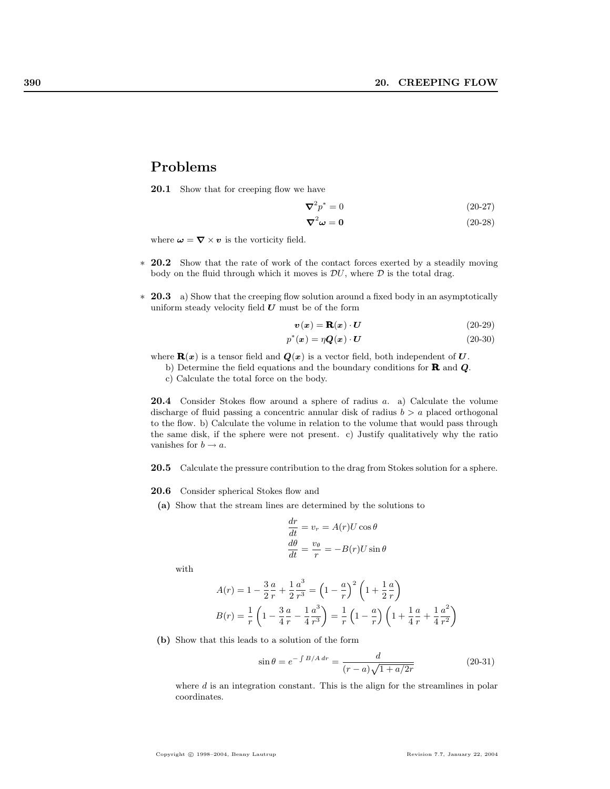# Problems

20.1 Show that for creeping flow we have

$$
\nabla^2 p^* = 0 \tag{20-27}
$$

$$
\nabla^2 \omega = 0 \tag{20-28}
$$

where  $\boldsymbol{\omega} = \boldsymbol{\nabla} \times \boldsymbol{v}$  is the vorticity field.

- ∗ 20.2 Show that the rate of work of the contact forces exerted by a steadily moving body on the fluid through which it moves is  $\mathcal{D}U$ , where  $\mathcal D$  is the total drag.
- ∗ 20.3 a) Show that the creeping flow solution around a fixed body in an asymptotically uniform steady velocity field  $U$  must be of the form

$$
v(x) = \mathbf{R}(x) \cdot U \tag{20-29}
$$

$$
p^*(x) = \eta \mathbf{Q}(x) \cdot \mathbf{U} \tag{20-30}
$$

where  $\mathbf{R}(x)$  is a tensor field and  $\mathbf{Q}(x)$  is a vector field, both independent of U.

c) Calculate the total force on the body.

20.4 Consider Stokes flow around a sphere of radius a. a) Calculate the volume discharge of fluid passing a concentric annular disk of radius  $b > a$  placed orthogonal to the flow. b) Calculate the volume in relation to the volume that would pass through the same disk, if the sphere were not present. c) Justify qualitatively why the ratio vanishes for  $b \to a$ .

20.5 Calculate the pressure contribution to the drag from Stokes solution for a sphere.

- 20.6 Consider spherical Stokes flow and
- (a) Show that the stream lines are determined by the solutions to

$$
\frac{dr}{dt} = v_r = A(r)U\cos\theta
$$

$$
\frac{d\theta}{dt} = \frac{v_\theta}{r} = -B(r)U\sin\theta
$$

 $\sim$ 

with

$$
A(r) = 1 - \frac{3}{2} \frac{a}{r} + \frac{1}{2} \frac{a^3}{r^3} = \left(1 - \frac{a}{r}\right)^2 \left(1 + \frac{1}{2} \frac{a}{r}\right)
$$
  

$$
B(r) = \frac{1}{r} \left(1 - \frac{3}{4} \frac{a}{r} - \frac{1}{4} \frac{a^3}{r^3}\right) = \frac{1}{r} \left(1 - \frac{a}{r}\right) \left(1 + \frac{1}{4} \frac{a}{r} + \frac{1}{4} \frac{a^2}{r^2}\right)
$$

(b) Show that this leads to a solution of the form

$$
\sin \theta = e^{-\int B/A \, dr} = \frac{d}{(r-a)\sqrt{1+a/2r}} \tag{20-31}
$$

where  $d$  is an integration constant. This is the align for the streamlines in polar coordinates.

b) Determine the field equations and the boundary conditions for  $\bf{R}$  and  $\bf{Q}$ .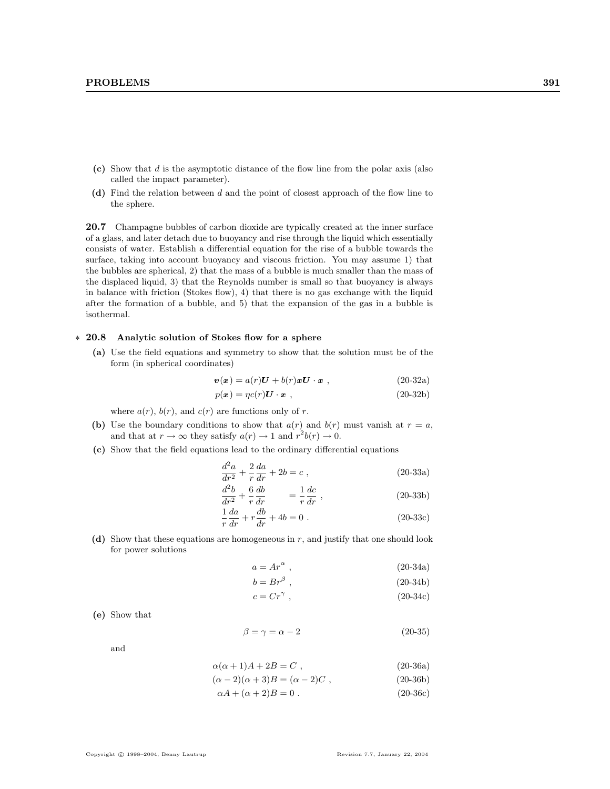- (c) Show that d is the asymptotic distance of the flow line from the polar axis (also called the impact parameter).
- (d) Find the relation between d and the point of closest approach of the flow line to the sphere.

20.7 Champagne bubbles of carbon dioxide are typically created at the inner surface of a glass, and later detach due to buoyancy and rise through the liquid which essentially consists of water. Establish a differential equation for the rise of a bubble towards the surface, taking into account buoyancy and viscous friction. You may assume 1) that the bubbles are spherical, 2) that the mass of a bubble is much smaller than the mass of the displaced liquid, 3) that the Reynolds number is small so that buoyancy is always in balance with friction (Stokes flow), 4) that there is no gas exchange with the liquid after the formation of a bubble, and 5) that the expansion of the gas in a bubble is isothermal.

### ∗ 20.8 Analytic solution of Stokes flow for a sphere

(a) Use the field equations and symmetry to show that the solution must be of the form (in spherical coordinates)

$$
\mathbf{v}(\mathbf{x}) = a(r)\mathbf{U} + b(r)\mathbf{x}\mathbf{U} \cdot \mathbf{x} \tag{20-32a}
$$

$$
p(x) = \eta c(r) \mathbf{U} \cdot \mathbf{x} \tag{20-32b}
$$

where  $a(r)$ ,  $b(r)$ , and  $c(r)$  are functions only of r.

- (b) Use the boundary conditions to show that  $a(r)$  and  $b(r)$  must vanish at  $r = a$ , and that at  $r \to \infty$  they satisfy  $a(r) \to 1$  and  $r^2b(r) \to 0$ .
- (c) Show that the field equations lead to the ordinary differential equations

$$
\frac{d^2a}{dr^2} + \frac{2}{r}\frac{da}{dr} + 2b = c ,
$$
\n(20-33a)

$$
\frac{d^2b}{dr^2} + \frac{6}{r}\frac{db}{dr} = \frac{1}{r}\frac{dc}{dr},
$$
\n(20-33b)\n
$$
\frac{1}{r}\frac{da}{dr} + \frac{db}{dr} = \frac{1}{r}\frac{dc}{dr},
$$
\n(20-33b)

$$
\frac{1}{r}\frac{da}{dr} + r\frac{do}{dr} + 4b = 0.
$$
 (20-33c)

(d) Show that these equations are homogeneous in r, and justify that one should look for power solutions

$$
a = Ar^{\alpha} \t{,} \t(20-34a)
$$

$$
b = Br^{\beta} \t{,} \t(20-34b)
$$

$$
c = Cr^{\gamma} \t{,} \t(20-34c)
$$

(e) Show that

$$
\beta = \gamma = \alpha - 2 \tag{20-35}
$$

and

$$
\alpha(\alpha+1)A + 2B = C \tag{20-36a}
$$

$$
(\alpha - 2)(\alpha + 3)B = (\alpha - 2)C , \qquad (20-36b)
$$

$$
\alpha A + (\alpha + 2)B = 0. \tag{20-36c}
$$